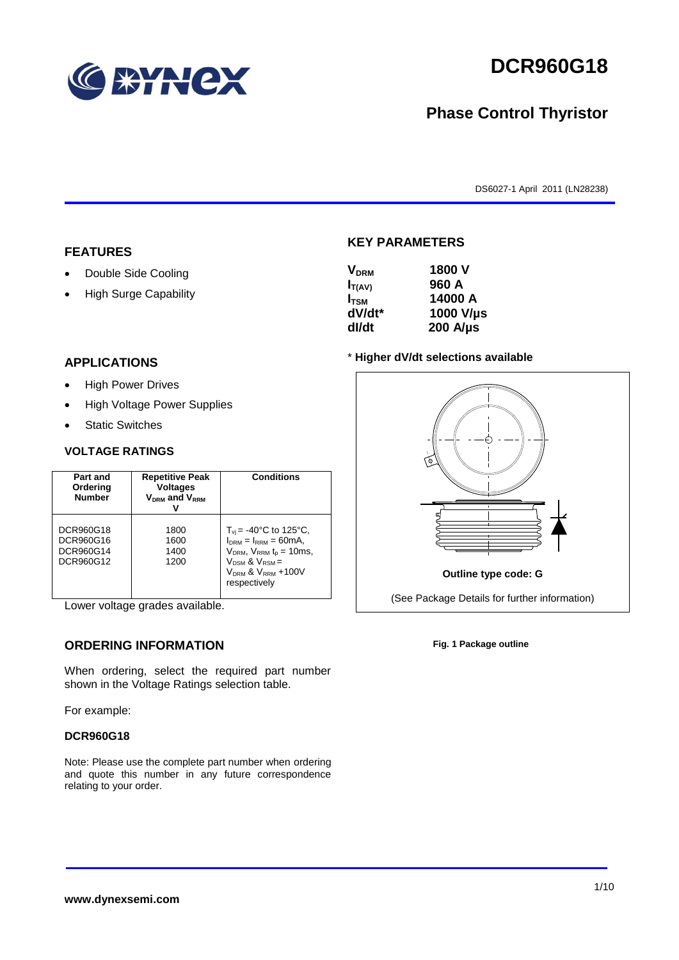

# **DCR960G18**

## **Phase Control Thyristor**

DS6027-1 April 2011 (LN28238)

#### **FEATURES**

- Double Side Cooling
- High Surge Capability

#### **APPLICATIONS**

- High Power Drives
- High Voltage Power Supplies
- Static Switches

#### **VOLTAGE RATINGS**

| Part and<br>Ordering<br><b>Number</b>            | <b>Repetitive Peak</b><br><b>Voltages</b><br>$V_{DRM}$ and $V_{RRM}$ | <b>Conditions</b>                                                                                                                                                                           |
|--------------------------------------------------|----------------------------------------------------------------------|---------------------------------------------------------------------------------------------------------------------------------------------------------------------------------------------|
| DCR960G18<br>DCR960G16<br>DCR960G14<br>DCR960G12 | 1800<br>1600<br>1400<br>1200                                         | $T_{vi}$ = -40°C to 125°C,<br>$I_{DRM} = I_{RRM} = 60mA$ ,<br>$V_{DRM}$ , $V_{RRM}$ $t_{p}$ = 10ms,<br>$V_{DSM}$ & $V_{RSM}$ =<br>V <sub>DRM</sub> & V <sub>RRM</sub> +100V<br>respectively |

Lower voltage grades available.

#### **ORDERING INFORMATION**

When ordering, select the required part number shown in the Voltage Ratings selection table.

For example:

#### **DCR960G18**

Note: Please use the complete part number when ordering and quote this number in any future correspondence relating to your order.

#### **KEY PARAMETERS**

| <b>V</b> <sub>DRM</sub> | 1800 V           |
|-------------------------|------------------|
| $I_{T(AV)}$             | 960 A            |
| $I_{\text{TSM}}$        | 14000 A          |
| dV/dt*                  | 1000 V/µs        |
| dl/dt                   | $200$ A/ $\mu$ s |

#### \* **Higher dV/dt selections available**



**Fig. 1 Package outline**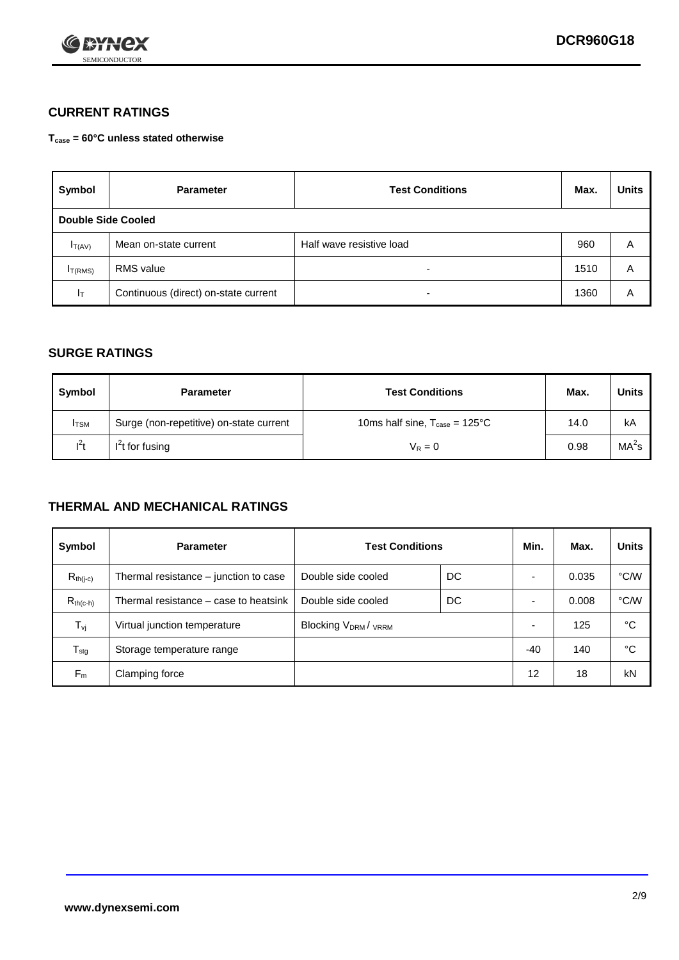

### **CURRENT RATINGS**

**Tcase = 60°C unless stated otherwise**

| Symbol             | <b>Parameter</b>                     | <b>Test Conditions</b>   |      | <b>Units</b> |  |
|--------------------|--------------------------------------|--------------------------|------|--------------|--|
| Double Side Cooled |                                      |                          |      |              |  |
| $I_{T(AV)}$        | Mean on-state current                | Half wave resistive load | 960  | A            |  |
| $I_{T(RMS)}$       | RMS value                            | $\overline{\phantom{a}}$ | 1510 | Α            |  |
| Iт                 | Continuous (direct) on-state current | $\overline{\phantom{a}}$ | 1360 | Α            |  |

#### **SURGE RATINGS**

| Symbol       | <b>Parameter</b>                        | <b>Test Conditions</b>                           | Max. | <b>Units</b>      |
|--------------|-----------------------------------------|--------------------------------------------------|------|-------------------|
| <b>I</b> TSM | Surge (non-repetitive) on-state current | 10ms half sine, $T_{\text{case}} = 125^{\circ}C$ | 14.0 | kA                |
| $l^2t$       | I <sup>2</sup> t for fusing             | $V_R = 0$                                        | 0.98 | MA <sup>2</sup> S |

#### **THERMAL AND MECHANICAL RATINGS**

| Symbol           | <b>Parameter</b>                      | <b>Test Conditions</b>                      |    | Min.                     | Max.  | <b>Units</b> |
|------------------|---------------------------------------|---------------------------------------------|----|--------------------------|-------|--------------|
| $R_{th(j-c)}$    | Thermal resistance – junction to case | Double side cooled                          | DC |                          | 0.035 | °C/W         |
| $R_{th(c-h)}$    | Thermal resistance – case to heatsink | Double side cooled                          | DC |                          | 0.008 | °C/W         |
| $T_{\nu j}$      | Virtual junction temperature          | Blocking V <sub>DRM</sub> / <sub>VRRM</sub> |    | $\overline{\phantom{0}}$ | 125   | °C           |
| $T_{\text{stg}}$ | Storage temperature range             |                                             |    | -40                      | 140   | °C           |
| $F_m$            | Clamping force                        |                                             |    | 12                       | 18    | kN           |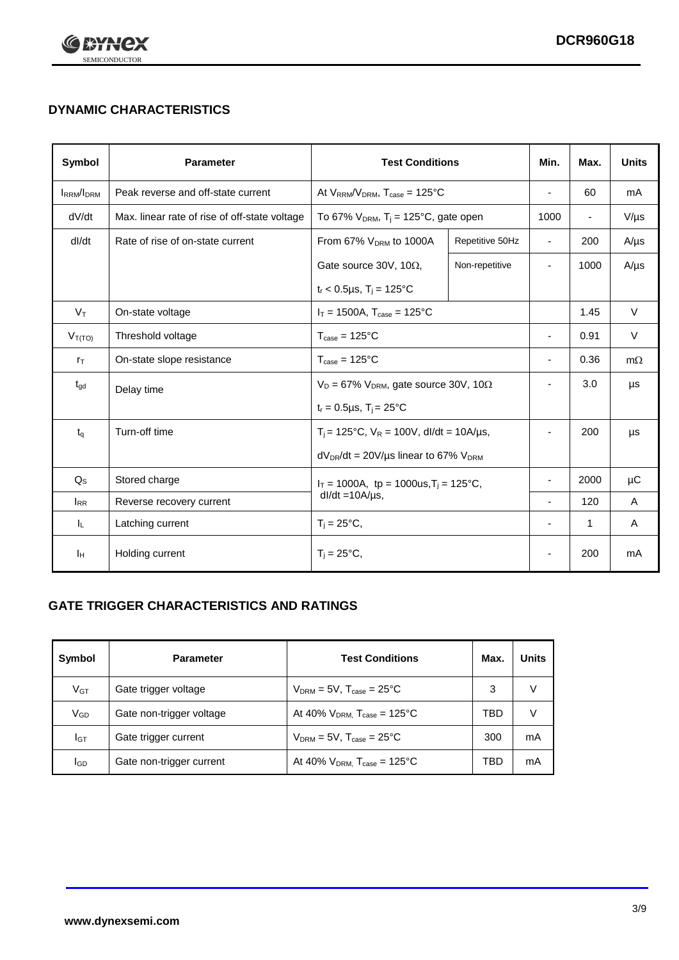

## **DYNAMIC CHARACTERISTICS**

| Symbol            | <b>Parameter</b>                              | <b>Test Conditions</b>                                                |                 | Min.                     | Max.                     | <b>Units</b> |
|-------------------|-----------------------------------------------|-----------------------------------------------------------------------|-----------------|--------------------------|--------------------------|--------------|
| <b>IRRM</b> /IDRM | Peak reverse and off-state current            | At $V_{RRM}/V_{DRM}$ , $T_{case} = 125$ °C                            |                 | $\blacksquare$           | 60                       | mA           |
| dV/dt             | Max. linear rate of rise of off-state voltage | To 67% $V_{DRM}$ , T <sub>i</sub> = 125°C, gate open                  |                 | 1000                     | $\overline{\phantom{a}}$ | $V/\mu s$    |
| dl/dt             | Rate of rise of on-state current              | From 67% V <sub>DRM</sub> to 1000A                                    | Repetitive 50Hz | $\overline{\phantom{a}}$ | 200                      | $A/\mu s$    |
|                   |                                               | Gate source 30V, 10 $\Omega$ ,                                        | Non-repetitive  | $\overline{\phantom{a}}$ | 1000                     | $A/\mu s$    |
|                   |                                               | $t_r$ < 0.5µs, T <sub>i</sub> = 125°C                                 |                 |                          |                          |              |
| $V_T$             | On-state voltage                              | $I_T = 1500A$ , $T_{case} = 125^{\circ}C$                             |                 |                          | 1.45                     | $\vee$       |
| $V_{T(TO)}$       | Threshold voltage                             | $T_{\text{case}} = 125^{\circ}C$                                      |                 | $\blacksquare$           | 0.91                     | $\vee$       |
| $r_{\text{T}}$    | On-state slope resistance                     | $T_{\text{case}} = 125^{\circ}C$                                      |                 | $\overline{\phantom{a}}$ | 0.36                     | $m\Omega$    |
| $t_{\rm gd}$      | Delay time                                    | $V_D = 67\%$ V <sub>DRM</sub> , gate source 30V, 10 $\Omega$          |                 | ÷,                       | 3.0                      | μs           |
|                   |                                               | $t_r = 0.5 \mu s$ , $T_i = 25^{\circ}C$                               |                 |                          |                          |              |
| $t_{q}$           | Turn-off time                                 | $T_i$ = 125°C, $V_R$ = 100V, dl/dt = 10A/µs,                          |                 | $\blacksquare$           | 200                      | μs           |
|                   |                                               | $dV_{DR}/dt = 20V/\mu s$ linear to 67% $V_{DRM}$                      |                 |                          |                          |              |
| $Q_{\rm S}$       | Stored charge                                 | $I_T = 1000A$ , tp = 1000us, $T_i = 125$ °C,<br>$dl/dt = 10A/\mu s$ , |                 |                          | 2000                     | μC           |
| $I_{RR}$          | Reverse recovery current                      |                                                                       |                 |                          | 120                      | A            |
| IL.               | Latching current                              | $T_i = 25^{\circ}C$ ,                                                 |                 | $\overline{\phantom{a}}$ | $\mathbf{1}$             | Α            |
| Iн                | Holding current                               | $T_i = 25^{\circ}C,$                                                  |                 |                          | 200                      | mA           |

### **GATE TRIGGER CHARACTERISTICS AND RATINGS**

| Symbol          | <b>Parameter</b>         | <b>Test Conditions</b>                    | Max. | <b>Units</b> |
|-----------------|--------------------------|-------------------------------------------|------|--------------|
| V <sub>GT</sub> | Gate trigger voltage     | $V_{DRM} = 5V$ , $T_{case} = 25^{\circ}C$ | 3    |              |
| $V_{GD}$        | Gate non-trigger voltage | At 40% $V_{DRM}$ , $T_{case}$ = 125°C     | TBD  |              |
| Iст             | Gate trigger current     | $V_{DRM} = 5V$ , $T_{case} = 25^{\circ}C$ | 300  | mA           |
| <b>I</b> GD     | Gate non-trigger current | At 40% $V_{DRM}$ , $T_{case}$ = 125°C     | TBD  | mA           |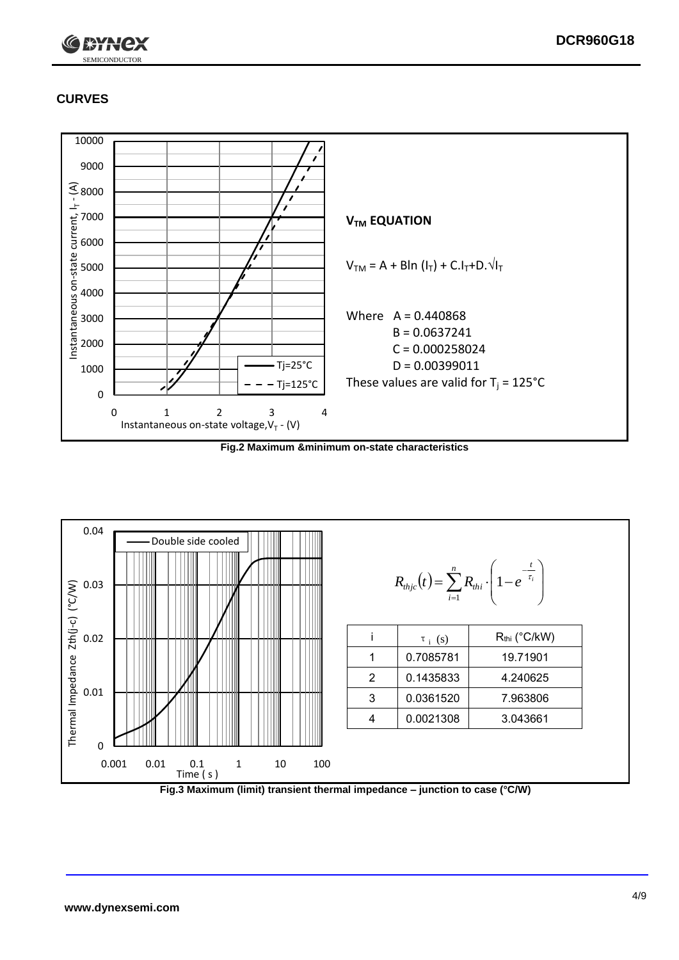

## **CURVES**



**Fig.2 Maximum &minimum on-state characteristics**



**Fig.3 Maximum (limit) transient thermal impedance – junction to case (°C/W)**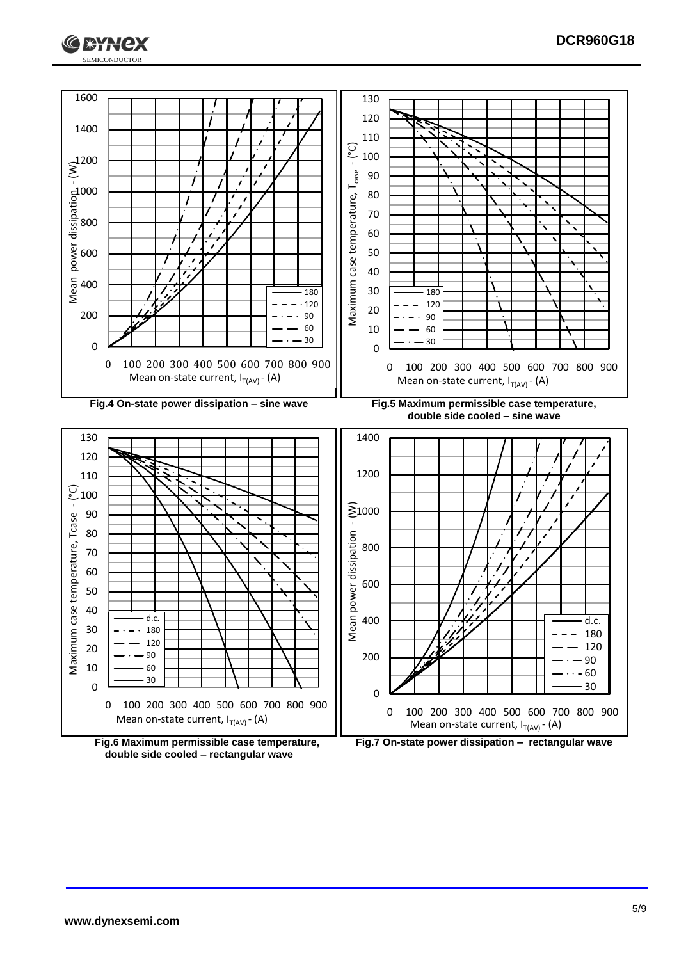



**double side cooled – rectangular wave**

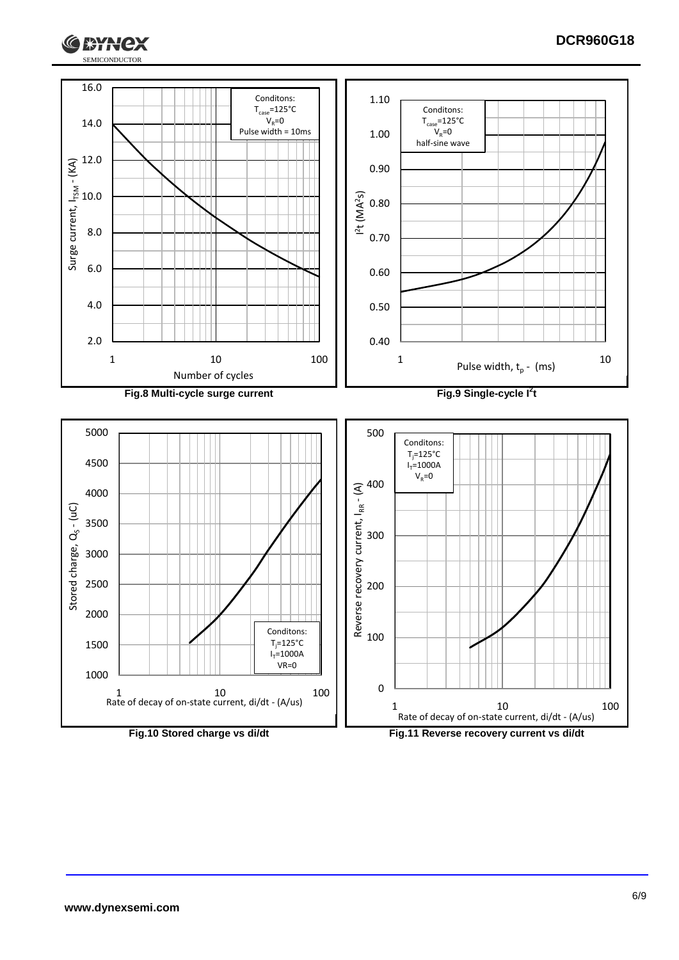

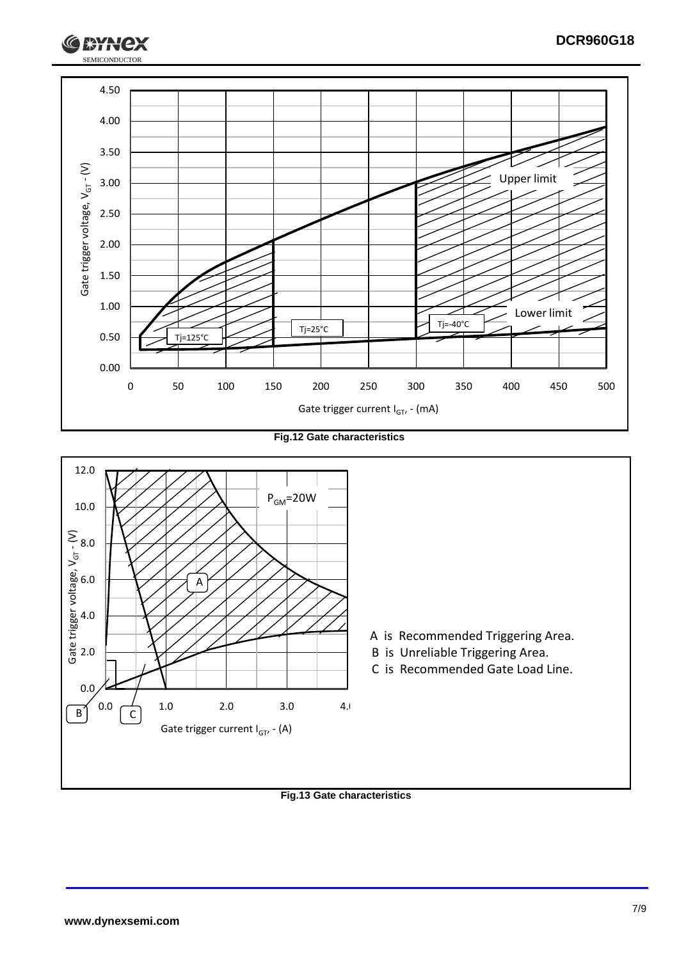

**Fig.12 Gate characteristics**



**Fig.13 Gate characteristics**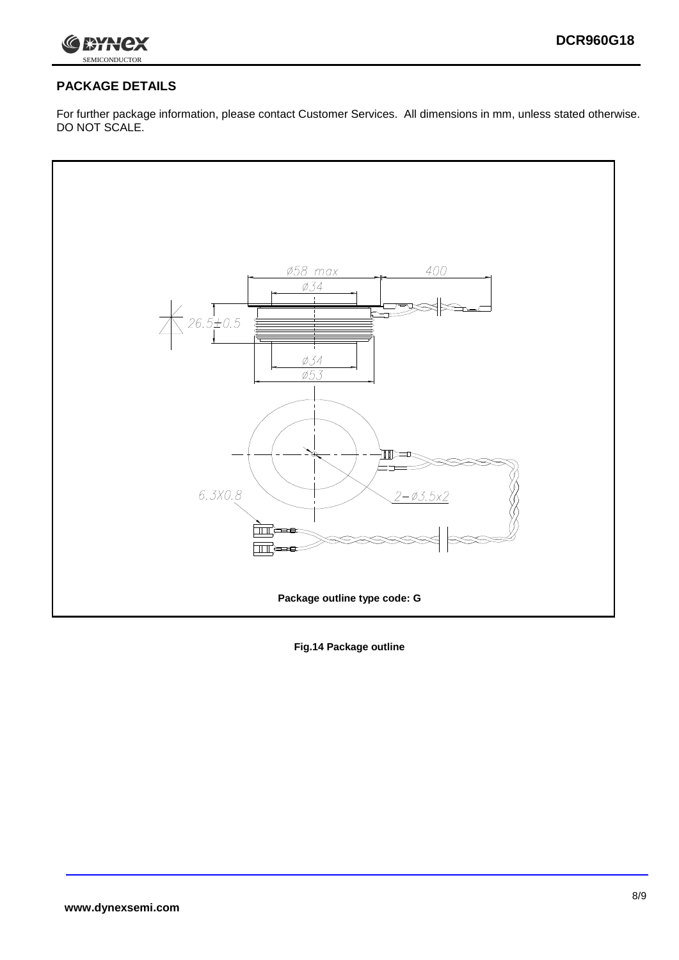

### **PACKAGE DETAILS**

For further package information, please contact Customer Services. All dimensions in mm, unless stated otherwise. DO NOT SCALE.



**Fig.14 Package outline**